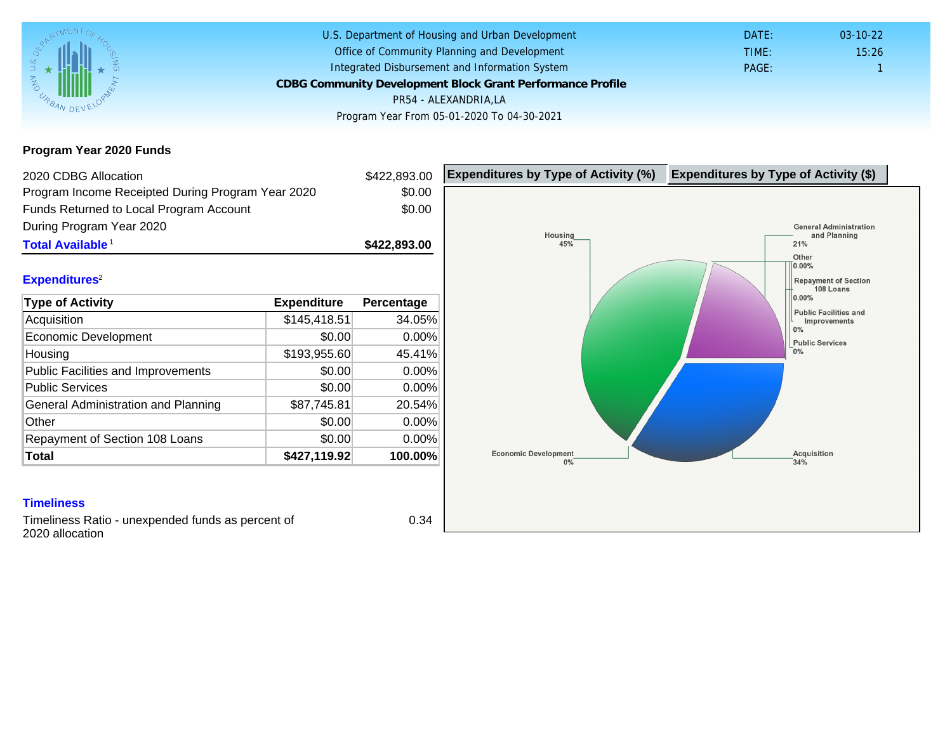Program Year 2020 Funds

| 2020 CDBG Allocation                                                 |              | \$422,893.00 | Expenditures by Type of Activity (%) | Expenditure |
|----------------------------------------------------------------------|--------------|--------------|--------------------------------------|-------------|
| Program Income Receipted During Program Year 2020                    |              | \$0.00       |                                      |             |
| Funds Returned to Local Program Account                              |              | \$0.00       |                                      |             |
| During Program Year 2020                                             |              |              |                                      |             |
| Total Available <sup>1</sup>                                         |              | \$422,893.00 |                                      |             |
|                                                                      |              |              |                                      |             |
| Expenditures <sup>2</sup>                                            |              |              |                                      |             |
| Type of Activity                                                     | Expenditure  | Percentage   |                                      |             |
| Acquisition                                                          | \$145,418.51 | 34.05%       |                                      |             |
| Economic Development                                                 | \$0.00       | 0.00%        |                                      |             |
| Housing                                                              | \$193,955.60 | 45.41%       |                                      |             |
| <b>Public Facilities and Improvements</b>                            | \$0.00       | 0.00%        |                                      |             |
| <b>Public Services</b>                                               | \$0.00       | 0.00%        |                                      |             |
| General Administration and Planning                                  | \$87,745.81  | 20.54%       |                                      |             |
| Other                                                                | \$0.00       | 0.00%        |                                      |             |
| Repayment of Section 108 Loans                                       | \$0.00       | 0.00%        |                                      |             |
| Total                                                                | \$427,119.92 | 100.00%      |                                      |             |
|                                                                      |              |              |                                      |             |
| <b>Timeliness</b>                                                    |              |              |                                      |             |
| Timeliness Ratio - unexpended funds as percent of<br>2020 allocation |              | 0.34         |                                      |             |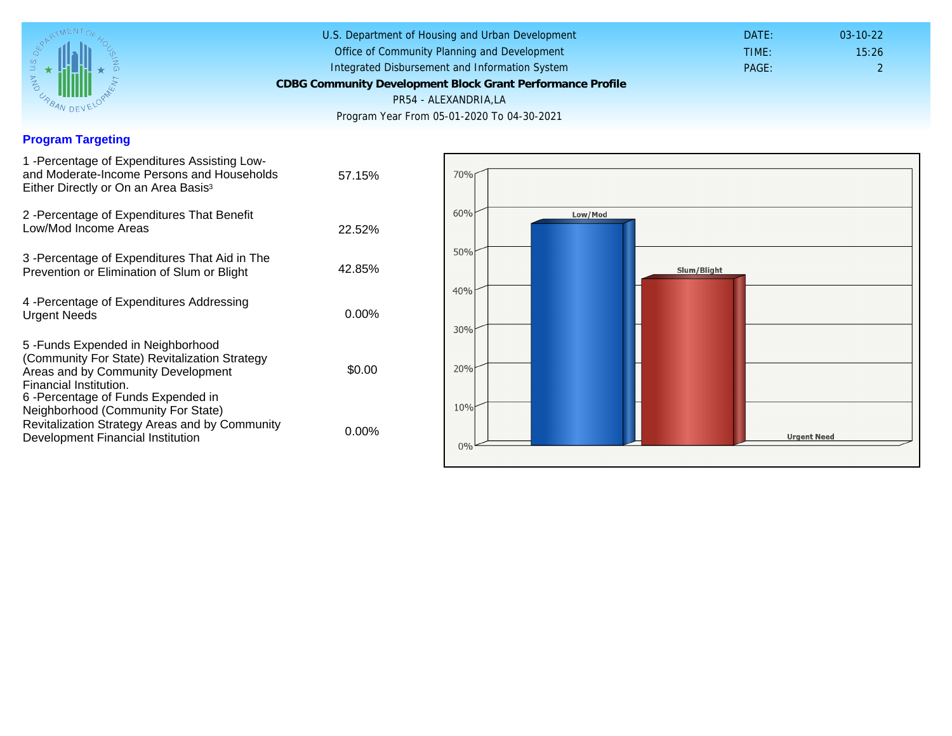## Program Targeting

| 1 - Percentage of Expenditures Assisting Low-<br>and Moderate-Income Persons and Households<br>Either Directly or On an Area Basis <sup>3</sup>                                                                              | 57.15%   |
|------------------------------------------------------------------------------------------------------------------------------------------------------------------------------------------------------------------------------|----------|
| 2 - Percentage of Expenditures That Benefit<br>Low/Mod Income Areas                                                                                                                                                          | 22.52%   |
| 3 -Percentage of Expenditures That Aid in The<br>Prevention or Elimination of Slum or Blight                                                                                                                                 | 42.85%   |
| 4 - Percentage of Expenditures Addressing<br><b>Urgent Needs</b>                                                                                                                                                             | $0.00\%$ |
| 5-Funds Expended in Neighborhood<br>(Community For State) Revitalization Strategy<br>Areas and by Community Development<br>Financial Institution.<br>6-Percentage of Funds Expended in<br>Neighborhood (Community For State) | \$0.00   |
| Revitalization Strategy Areas and by Community<br>Development Financial Institution                                                                                                                                          | $0.00\%$ |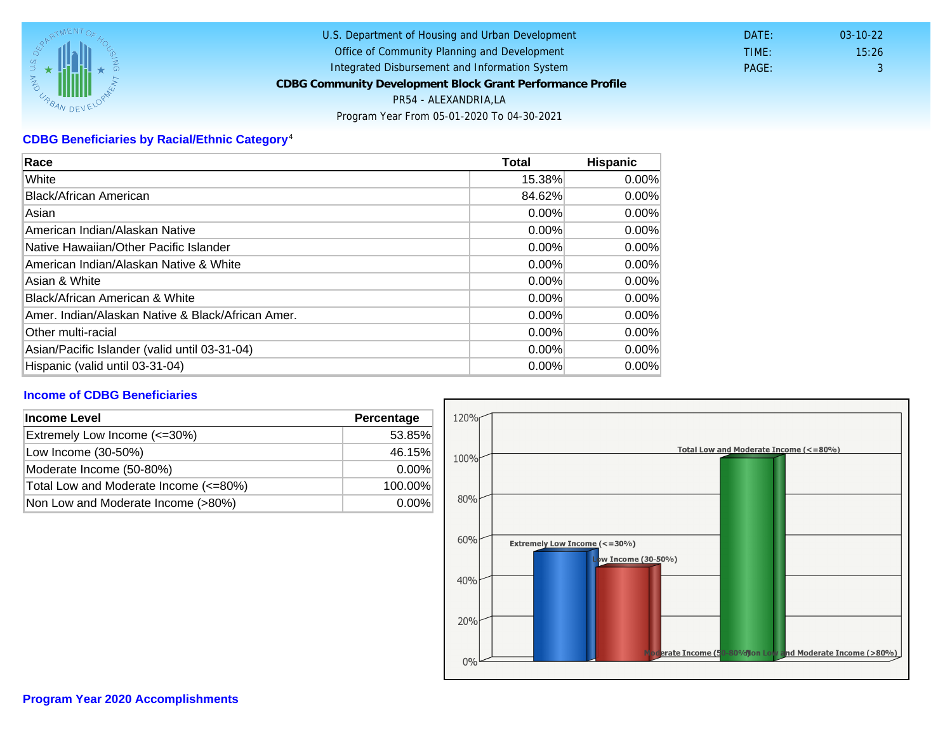## CDBG Beneficiaries by Racial/Ethnic Category <sup>4</sup>

| Race                                              | Total    | Hispanic |
|---------------------------------------------------|----------|----------|
| White                                             | 15.38%   | $0.00\%$ |
| Black/African American                            | 84.62%   | $0.00\%$ |
| Asian                                             | $0.00\%$ | $0.00\%$ |
| IAmerican Indian/Alaskan Native                   | 0.00%    | $0.00\%$ |
| lNative Hawaiian/Other Pacific Islander           | $0.00\%$ | $0.00\%$ |
| American Indian/Alaskan Native & White            | 0.00%    | $0.00\%$ |
| Asian & White                                     | 0.00%    | $0.00\%$ |
| Black/African American & White                    | $0.00\%$ | $0.00\%$ |
| Amer. Indian/Alaskan Native & Black/African Amer. | $0.00\%$ | $0.00\%$ |
| <b>Other multi-racial</b>                         | $0.00\%$ | 0.00%    |
| Asian/Pacific Islander (valid until 03-31-04)     | 0.00%    | 0.00%    |
| Hispanic (valid until 03-31-04)                   | $0.00\%$ | $0.00\%$ |

## Income of CDBG Beneficiaries

| Income Level                          | Percentage |
|---------------------------------------|------------|
| Extremely Low Income (<=30%)          | 53.85%     |
| Low Income (30-50%)                   | 46.15%     |
| Moderate Income (50-80%)              | $0.00\%$   |
| Total Low and Moderate Income (<=80%) | 100.00%    |
| Non Low and Moderate Income (>80%)    | $0.00\%$   |